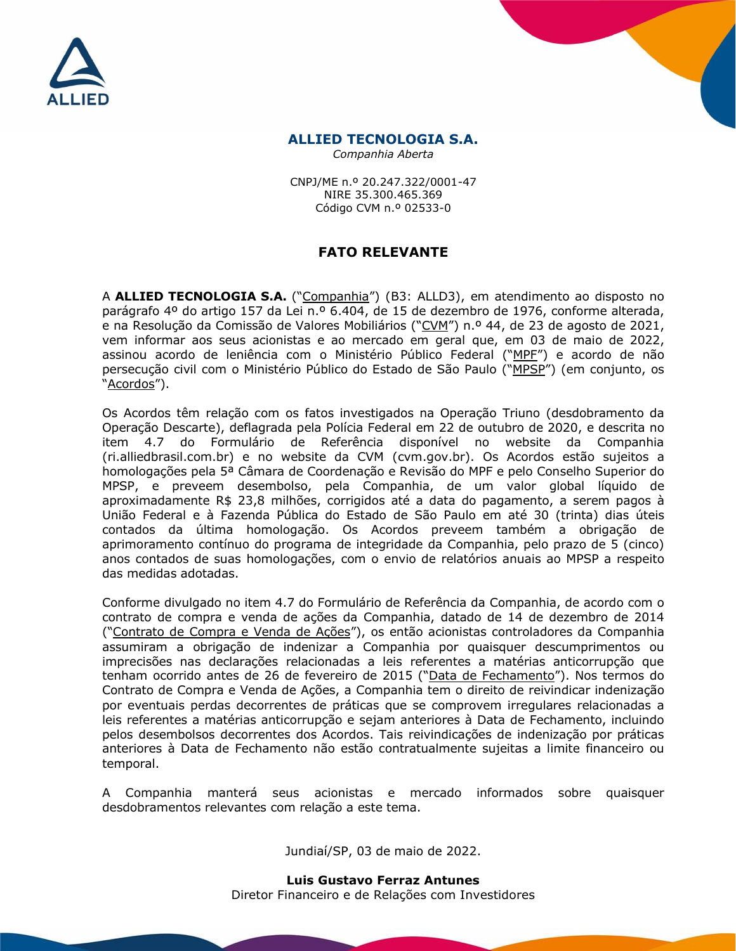



## **ALLIED TECNOLOGIA S.A.**

*Companhia Aberta*

CNPJ/ME n.º 20.247.322/0001-47 NIRE 35.300.465.369 Código CVM n.º 02533-0

## **FATO RELEVANTE**

A **ALLIED TECNOLOGIA S.A.** ("Companhia") (B3: ALLD3), em atendimento ao disposto no parágrafo 4º do artigo 157 da Lei n.º 6.404, de 15 de dezembro de 1976, conforme alterada, e na Resolução da Comissão de Valores Mobiliários ("CVM") n.º 44, de 23 de agosto de 2021, vem informar aos seus acionistas e ao mercado em geral que, em 03 de maio de 2022, assinou acordo de leniência com o Ministério Público Federal ("MPF") e acordo de não persecução civil com o Ministério Público do Estado de São Paulo ("MPSP") (em conjunto, os "Acordos").

Os Acordos têm relação com os fatos investigados na Operação Triuno (desdobramento da Operação Descarte), deflagrada pela Polícia Federal em 22 de outubro de 2020, e descrita no item 4.7 do Formulário de Referência disponível no website da Companhia (ri.alliedbrasil.com.br) e no website da CVM (cvm.gov.br). Os Acordos estão sujeitos a homologações pela 5ª Câmara de Coordenação e Revisão do MPF e pelo Conselho Superior do MPSP, e preveem desembolso, pela Companhia, de um valor global líquido de aproximadamente R\$ 23,8 milhões, corrigidos até a data do pagamento, a serem pagos à União Federal e à Fazenda Pública do Estado de São Paulo em até 30 (trinta) dias úteis contados da última homologação. Os Acordos preveem também a obrigação de aprimoramento contínuo do programa de integridade da Companhia, pelo prazo de 5 (cinco) anos contados de suas homologações, com o envio de relatórios anuais ao MPSP a respeito das medidas adotadas.

Conforme divulgado no item 4.7 do Formulário de Referência da Companhia, de acordo com o contrato de compra e venda de ações da Companhia, datado de 14 de dezembro de 2014 ("Contrato de Compra e Venda de Ações"), os então acionistas controladores da Companhia assumiram a obrigação de indenizar a Companhia por quaisquer descumprimentos ou imprecisões nas declarações relacionadas a leis referentes a matérias anticorrupção que tenham ocorrido antes de 26 de fevereiro de 2015 ("Data de Fechamento"). Nos termos do Contrato de Compra e Venda de Ações, a Companhia tem o direito de reivindicar indenização por eventuais perdas decorrentes de práticas que se comprovem irregulares relacionadas a leis referentes a matérias anticorrupção e sejam anteriores à Data de Fechamento, incluindo pelos desembolsos decorrentes dos Acordos. Tais reivindicações de indenização por práticas anteriores à Data de Fechamento não estão contratualmente sujeitas a limite financeiro ou temporal.

A Companhia manterá seus acionistas e mercado informados sobre quaisquer desdobramentos relevantes com relação a este tema.

Jundiaí/SP, 03 de maio de 2022.

**Luis Gustavo Ferraz Antunes** Diretor Financeiro e de Relações com Investidores